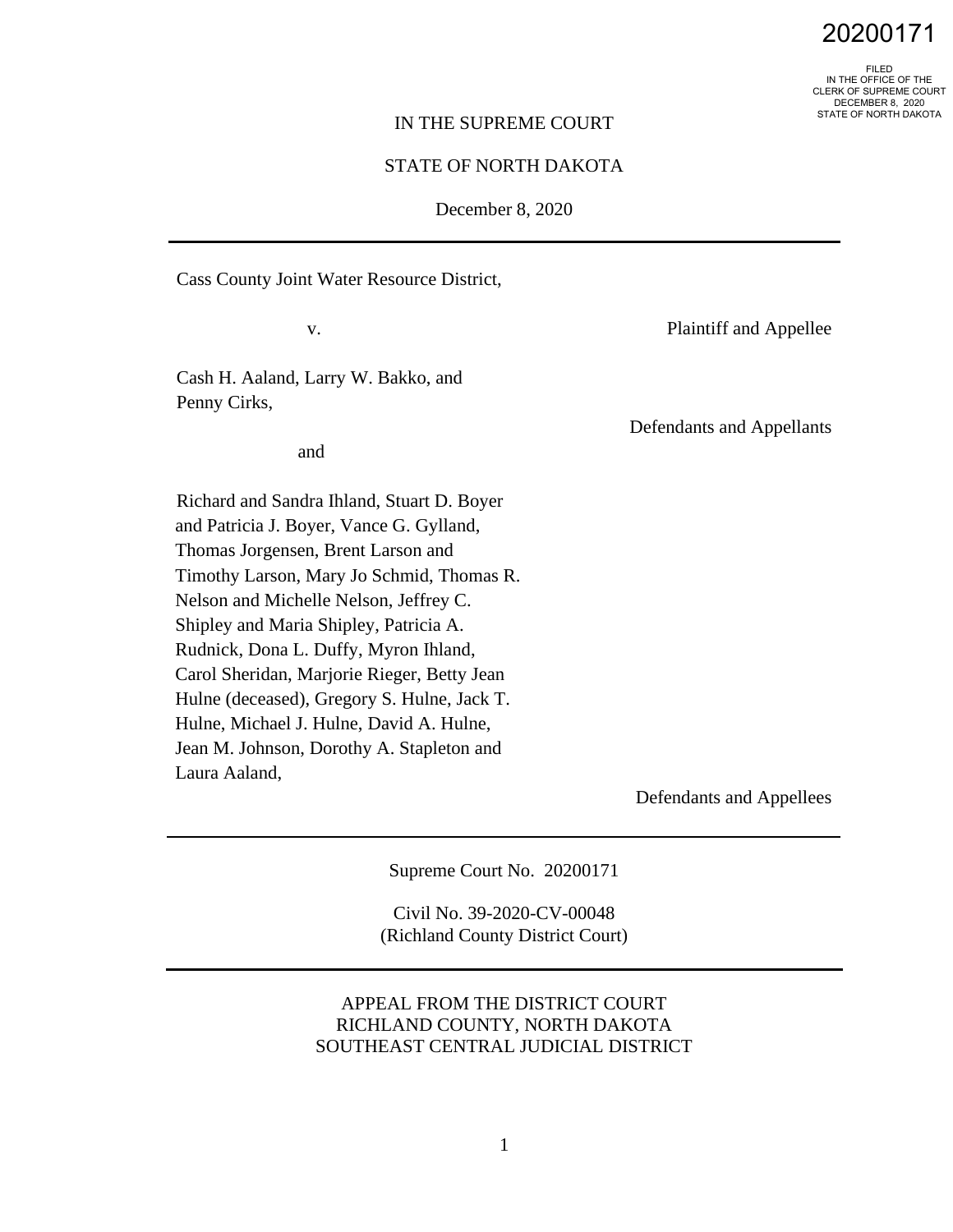FILED IN THE OFFICE OF THE CLERK OF SUPREME COURT DECEMBER 8, 2020 STATE OF NORTH DAKOTA

#### IN THE SUPREME COURT

# STATE OF NORTH DAKOTA

December 8, 2020

Cass County Joint Water Resource District,

v.

Cash H. Aaland, Larry W. Bakko, and Penny Cirks,

and

Richard and Sandra Ihland, Stuart D. Boyer and Patricia J. Boyer, Vance G. Gylland, Thomas Jorgensen, Brent Larson and Timothy Larson, Mary Jo Schmid, Thomas R. Nelson and Michelle Nelson, Jeffrey C. Shipley and Maria Shipley, Patricia A. Rudnick, Dona L. Duffy, Myron Ihland, Carol Sheridan, Marjorie Rieger, Betty Jean Hulne (deceased), Gregory S. Hulne, Jack T. Hulne, Michael J. Hulne, David A. Hulne, Jean M. Johnson, Dorothy A. Stapleton and Laura Aaland,

Plaintiff and Appellee

Defendants and Appellants

Defendants and Appellees

Supreme Court No. 20200171

Civil No. 39-2020-CV-00048 (Richland County District Court)

# APPEAL FROM THE DISTRICT COURT RICHLAND COUNTY, NORTH DAKOTA SOUTHEAST CENTRAL JUDICIAL DISTRICT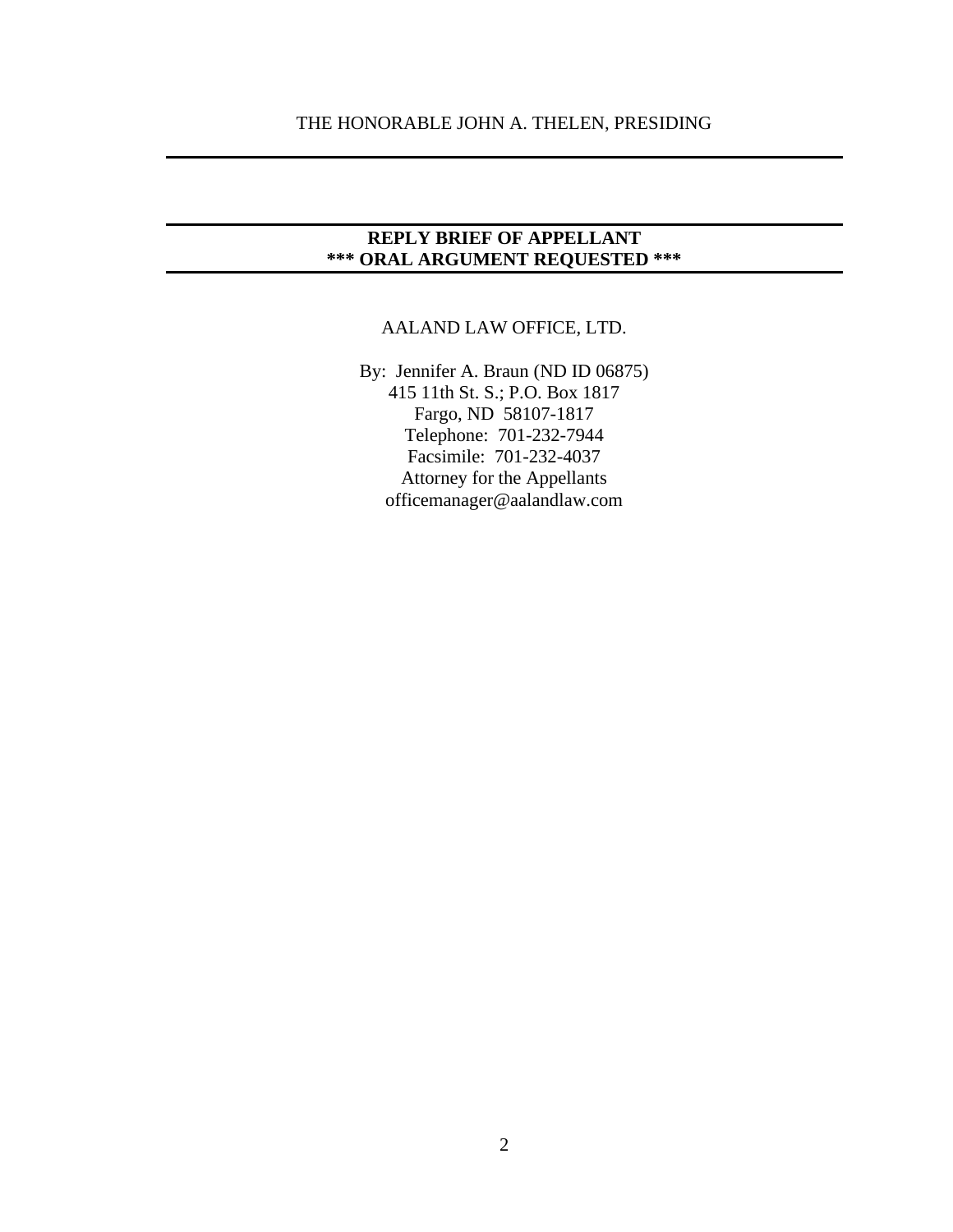# **REPLY BRIEF OF APPELLANT \*\*\* ORAL ARGUMENT REQUESTED \*\*\***

# AALAND LAW OFFICE, LTD.

By: Jennifer A. Braun (ND ID 06875) 415 11th St. S.; P.O. Box 1817 Fargo, ND 58107-1817 Telephone: 701-232-7944 Facsimile: 701-232-4037 Attorney for the Appellants officemanager@aalandlaw.com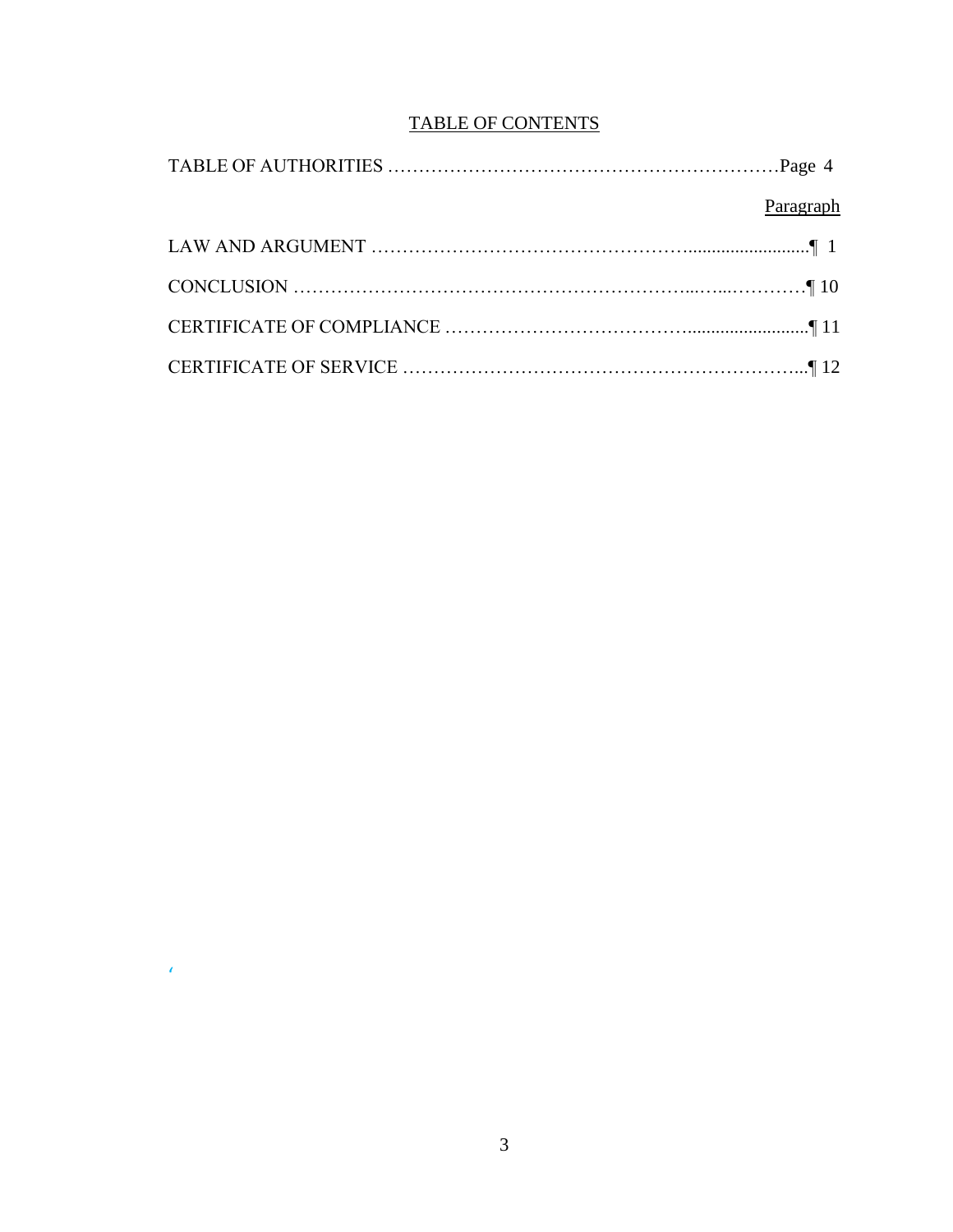# TABLE OF CONTENTS

| Paragraph |
|-----------|
|           |
|           |
|           |
|           |

 $\mathcal{L}^{\text{max}}$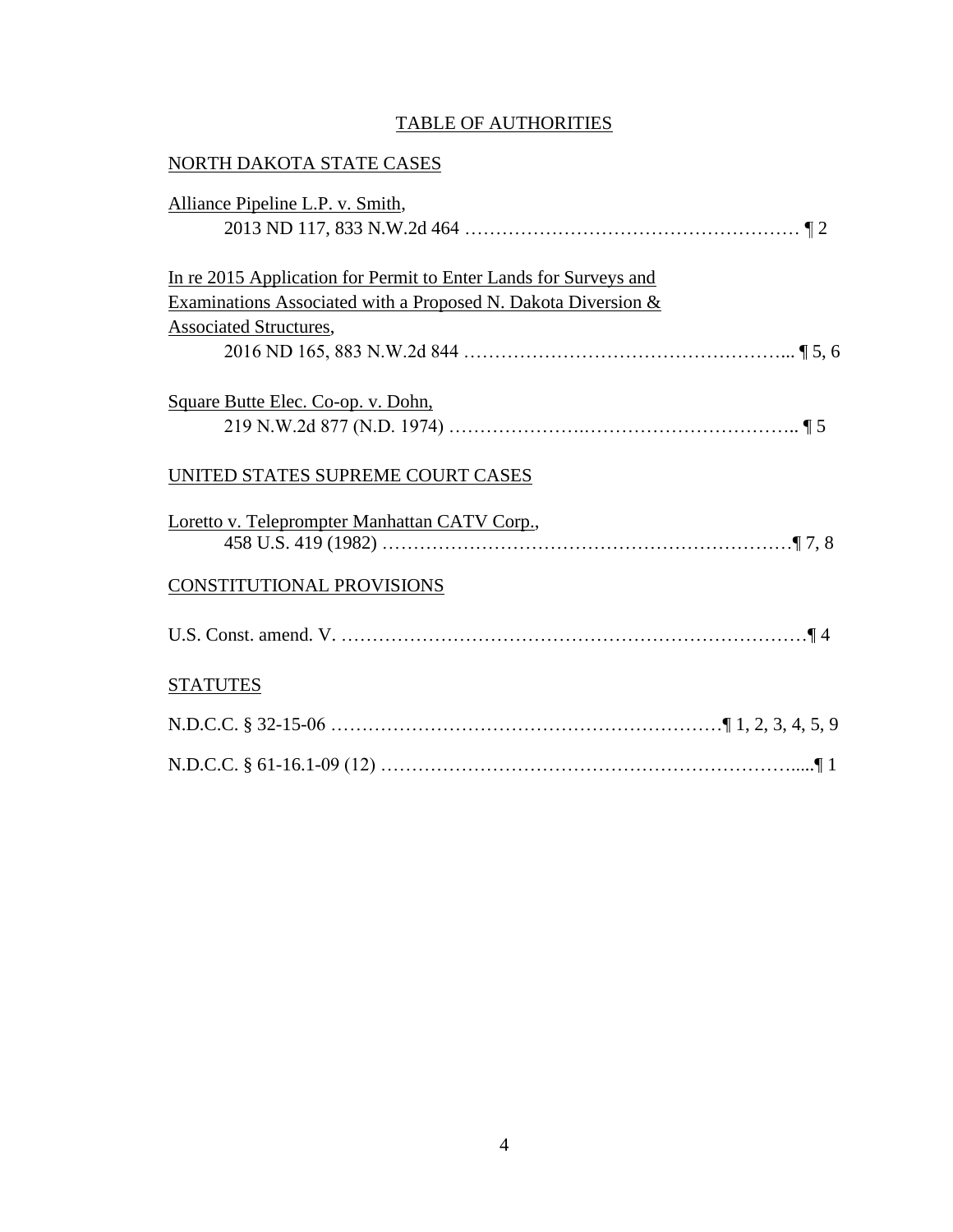# TABLE OF AUTHORITIES

| NORTH DAKOTA STATE CASES                                                                                                                                           |
|--------------------------------------------------------------------------------------------------------------------------------------------------------------------|
| Alliance Pipeline L.P. v. Smith,                                                                                                                                   |
| In re 2015 Application for Permit to Enter Lands for Surveys and<br>Examinations Associated with a Proposed N. Dakota Diversion &<br><b>Associated Structures,</b> |
| Square Butte Elec. Co-op. v. Dohn,                                                                                                                                 |
| UNITED STATES SUPREME COURT CASES                                                                                                                                  |
| Loretto v. Teleprompter Manhattan CATV Corp.,                                                                                                                      |
| <b>CONSTITUTIONAL PROVISIONS</b>                                                                                                                                   |
|                                                                                                                                                                    |
| <b>STATUTES</b>                                                                                                                                                    |
|                                                                                                                                                                    |
|                                                                                                                                                                    |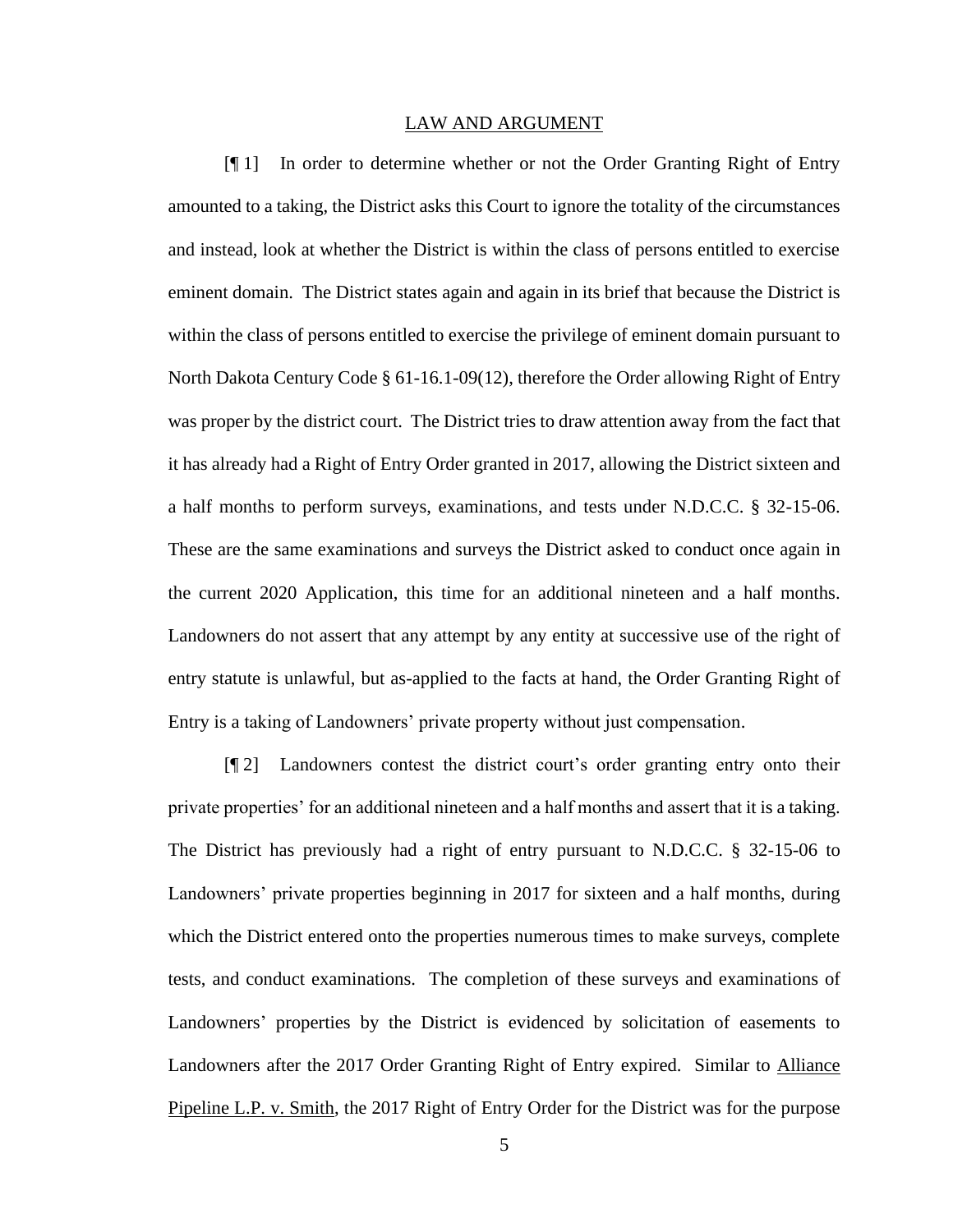#### LAW AND ARGUMENT

[¶ 1] In order to determine whether or not the Order Granting Right of Entry amounted to a taking, the District asks this Court to ignore the totality of the circumstances and instead, look at whether the District is within the class of persons entitled to exercise eminent domain. The District states again and again in its brief that because the District is within the class of persons entitled to exercise the privilege of eminent domain pursuant to North Dakota Century Code § 61-16.1-09(12), therefore the Order allowing Right of Entry was proper by the district court. The District tries to draw attention away from the fact that it has already had a Right of Entry Order granted in 2017, allowing the District sixteen and a half months to perform surveys, examinations, and tests under N.D.C.C. § 32-15-06. These are the same examinations and surveys the District asked to conduct once again in the current 2020 Application, this time for an additional nineteen and a half months. Landowners do not assert that any attempt by any entity at successive use of the right of entry statute is unlawful, but as-applied to the facts at hand, the Order Granting Right of Entry is a taking of Landowners' private property without just compensation.

[¶ 2] Landowners contest the district court's order granting entry onto their private properties' for an additional nineteen and a half months and assert that it is a taking. The District has previously had a right of entry pursuant to N.D.C.C. § 32-15-06 to Landowners' private properties beginning in 2017 for sixteen and a half months, during which the District entered onto the properties numerous times to make surveys, complete tests, and conduct examinations. The completion of these surveys and examinations of Landowners' properties by the District is evidenced by solicitation of easements to Landowners after the 2017 Order Granting Right of Entry expired. Similar to Alliance Pipeline L.P. v. Smith, the 2017 Right of Entry Order for the District was for the purpose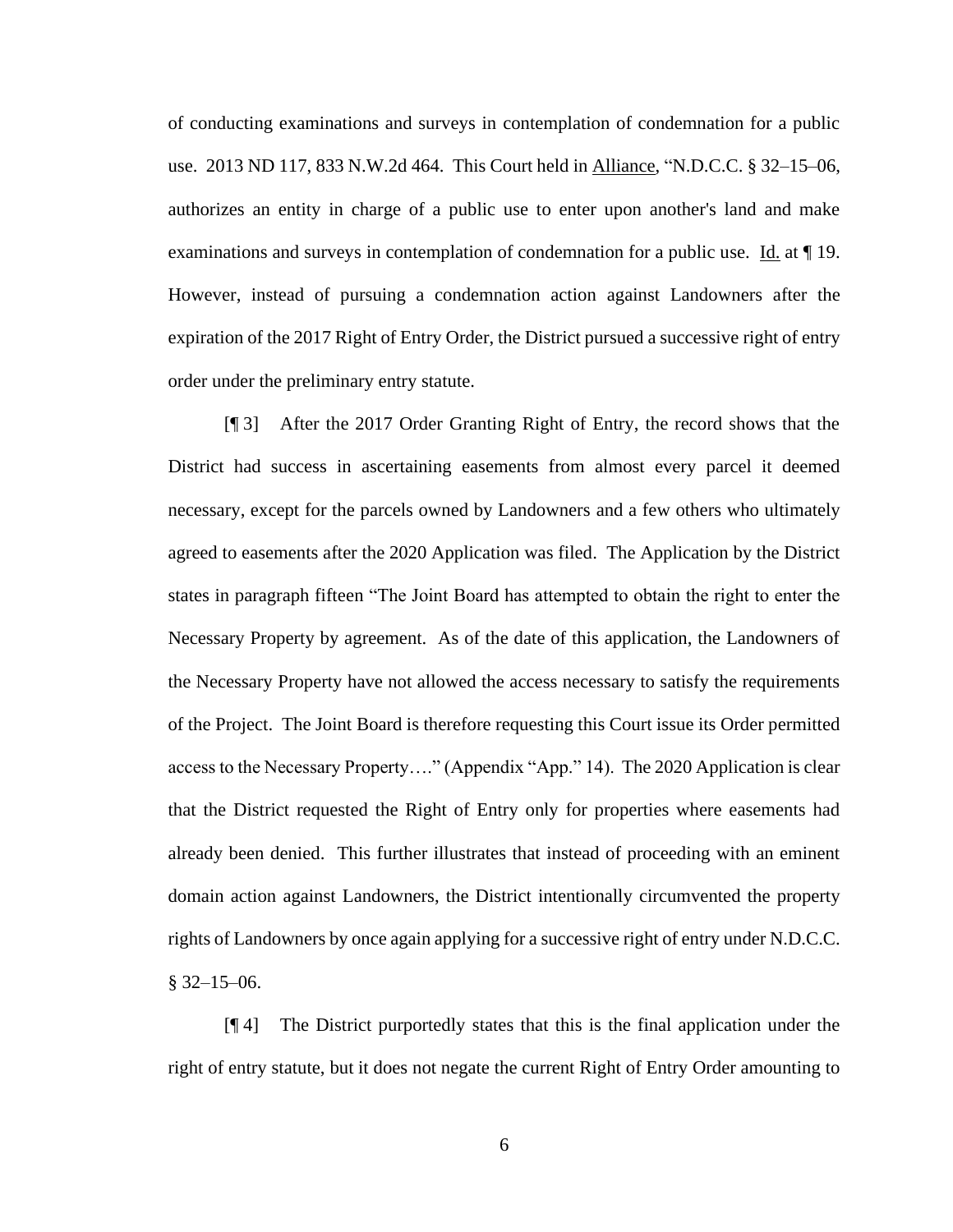of conducting examinations and surveys in contemplation of condemnation for a public use. 2013 ND 117, 833 N.W.2d 464. This Court held in Alliance, "N.D.C.C. § 32–15–06, authorizes an entity in charge of a public use to enter upon another's land and make examinations and surveys in contemplation of condemnation for a public use. Id. at ¶ 19. However, instead of pursuing a condemnation action against Landowners after the expiration of the 2017 Right of Entry Order, the District pursued a successive right of entry order under the preliminary entry statute.

[¶ 3] After the 2017 Order Granting Right of Entry, the record shows that the District had success in ascertaining easements from almost every parcel it deemed necessary, except for the parcels owned by Landowners and a few others who ultimately agreed to easements after the 2020 Application was filed. The Application by the District states in paragraph fifteen "The Joint Board has attempted to obtain the right to enter the Necessary Property by agreement. As of the date of this application, the Landowners of the Necessary Property have not allowed the access necessary to satisfy the requirements of the Project. The Joint Board is therefore requesting this Court issue its Order permitted access to the Necessary Property…." (Appendix "App." 14). The 2020 Application is clear that the District requested the Right of Entry only for properties where easements had already been denied. This further illustrates that instead of proceeding with an eminent domain action against Landowners, the District intentionally circumvented the property rights of Landowners by once again applying for a successive right of entry under N.D.C.C.  $§$  32–15–06.

[¶ 4] The District purportedly states that this is the final application under the right of entry statute, but it does not negate the current Right of Entry Order amounting to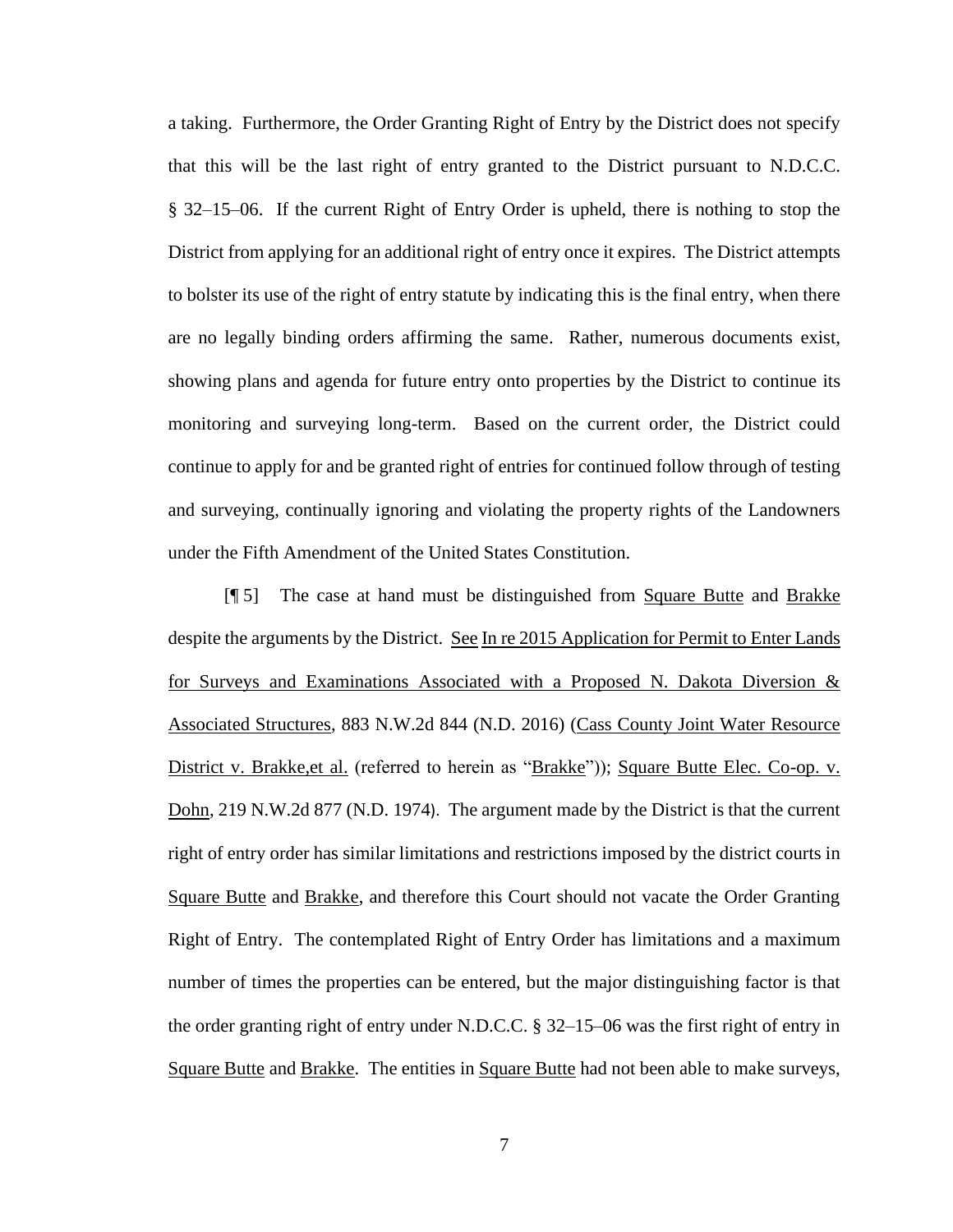a taking. Furthermore, the Order Granting Right of Entry by the District does not specify that this will be the last right of entry granted to the District pursuant to N.D.C.C. § 32–15–06. If the current Right of Entry Order is upheld, there is nothing to stop the District from applying for an additional right of entry once it expires. The District attempts to bolster its use of the right of entry statute by indicating this is the final entry, when there are no legally binding orders affirming the same. Rather, numerous documents exist, showing plans and agenda for future entry onto properties by the District to continue its monitoring and surveying long-term. Based on the current order, the District could continue to apply for and be granted right of entries for continued follow through of testing and surveying, continually ignoring and violating the property rights of the Landowners under the Fifth Amendment of the United States Constitution.

[¶ 5] The case at hand must be distinguished from Square Butte and Brakke despite the arguments by the District. See In re 2015 Application for Permit to Enter Lands for Surveys and Examinations Associated with a Proposed N. Dakota Diversion & Associated Structures, 883 N.W.2d 844 (N.D. 2016) (Cass County Joint Water Resource District v. Brakke, et al. (referred to herein as "Brakke")); Square Butte Elec. Co-op. v. Dohn, 219 N.W.2d 877 (N.D. 1974). The argument made by the District is that the current right of entry order has similar limitations and restrictions imposed by the district courts in Square Butte and Brakke, and therefore this Court should not vacate the Order Granting Right of Entry. The contemplated Right of Entry Order has limitations and a maximum number of times the properties can be entered, but the major distinguishing factor is that the order granting right of entry under N.D.C.C. § 32–15–06 was the first right of entry in Square Butte and Brakke. The entities in Square Butte had not been able to make surveys,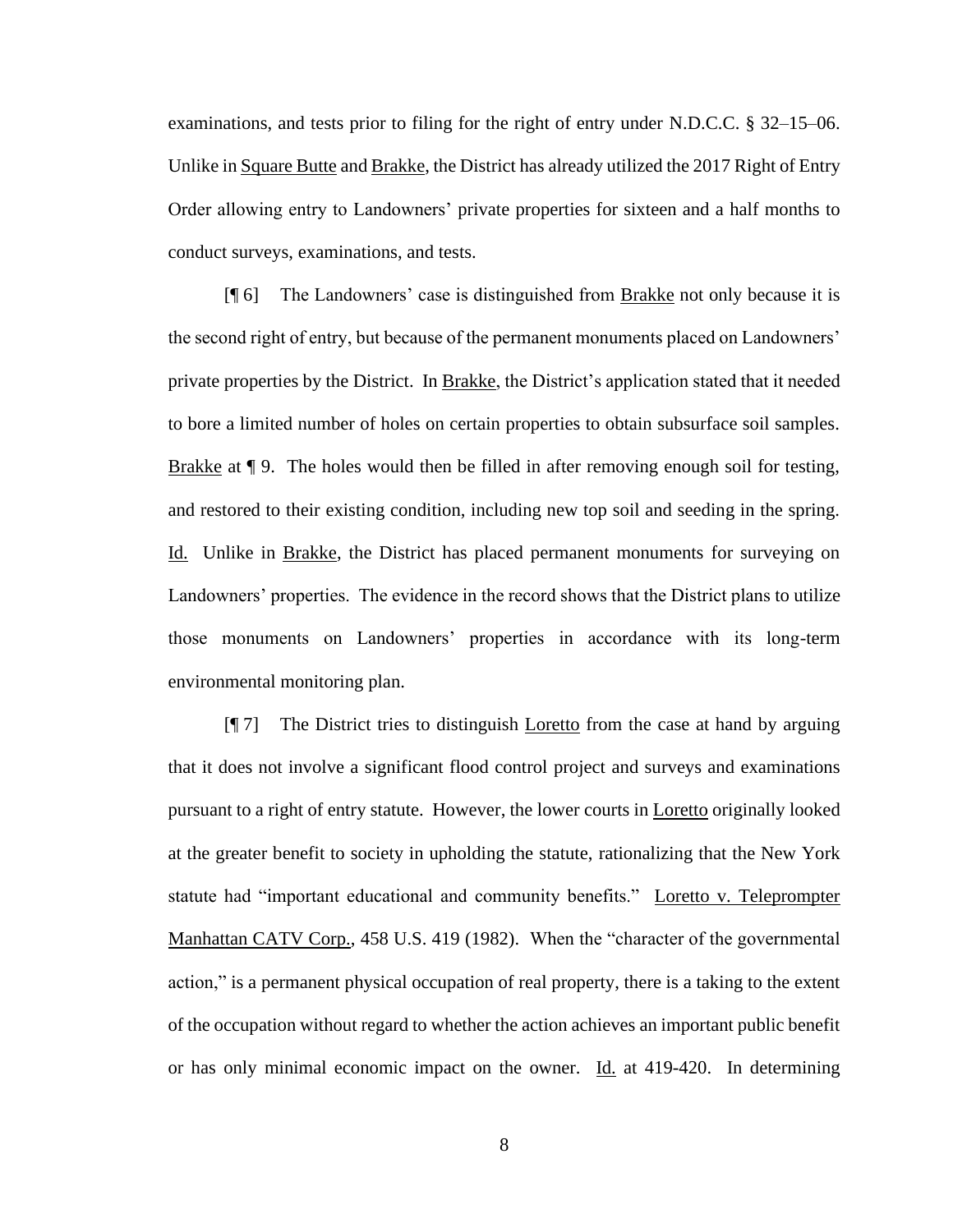examinations, and tests prior to filing for the right of entry under N.D.C.C. § 32–15–06. Unlike in Square Butte and Brakke, the District has already utilized the 2017 Right of Entry Order allowing entry to Landowners' private properties for sixteen and a half months to conduct surveys, examinations, and tests.

[¶ 6] The Landowners' case is distinguished from Brakke not only because it is the second right of entry, but because of the permanent monuments placed on Landowners' private properties by the District. In Brakke, the District's application stated that it needed to bore a limited number of holes on certain properties to obtain subsurface soil samples. Brakke at ¶ 9. The holes would then be filled in after removing enough soil for testing, and restored to their existing condition, including new top soil and seeding in the spring. Id. Unlike in Brakke, the District has placed permanent monuments for surveying on Landowners' properties. The evidence in the record shows that the District plans to utilize those monuments on Landowners' properties in accordance with its long-term environmental monitoring plan.

[¶ 7] The District tries to distinguish Loretto from the case at hand by arguing that it does not involve a significant flood control project and surveys and examinations pursuant to a right of entry statute. However, the lower courts in Loretto originally looked at the greater benefit to society in upholding the statute, rationalizing that the New York statute had "important educational and community benefits." Loretto v. Teleprompter Manhattan CATV Corp., 458 U.S. 419 (1982). When the "character of the governmental action," is a permanent physical occupation of real property, there is a taking to the extent of the occupation without regard to whether the action achieves an important public benefit or has only minimal economic impact on the owner.  $\underline{Id}$  at 419-420. In determining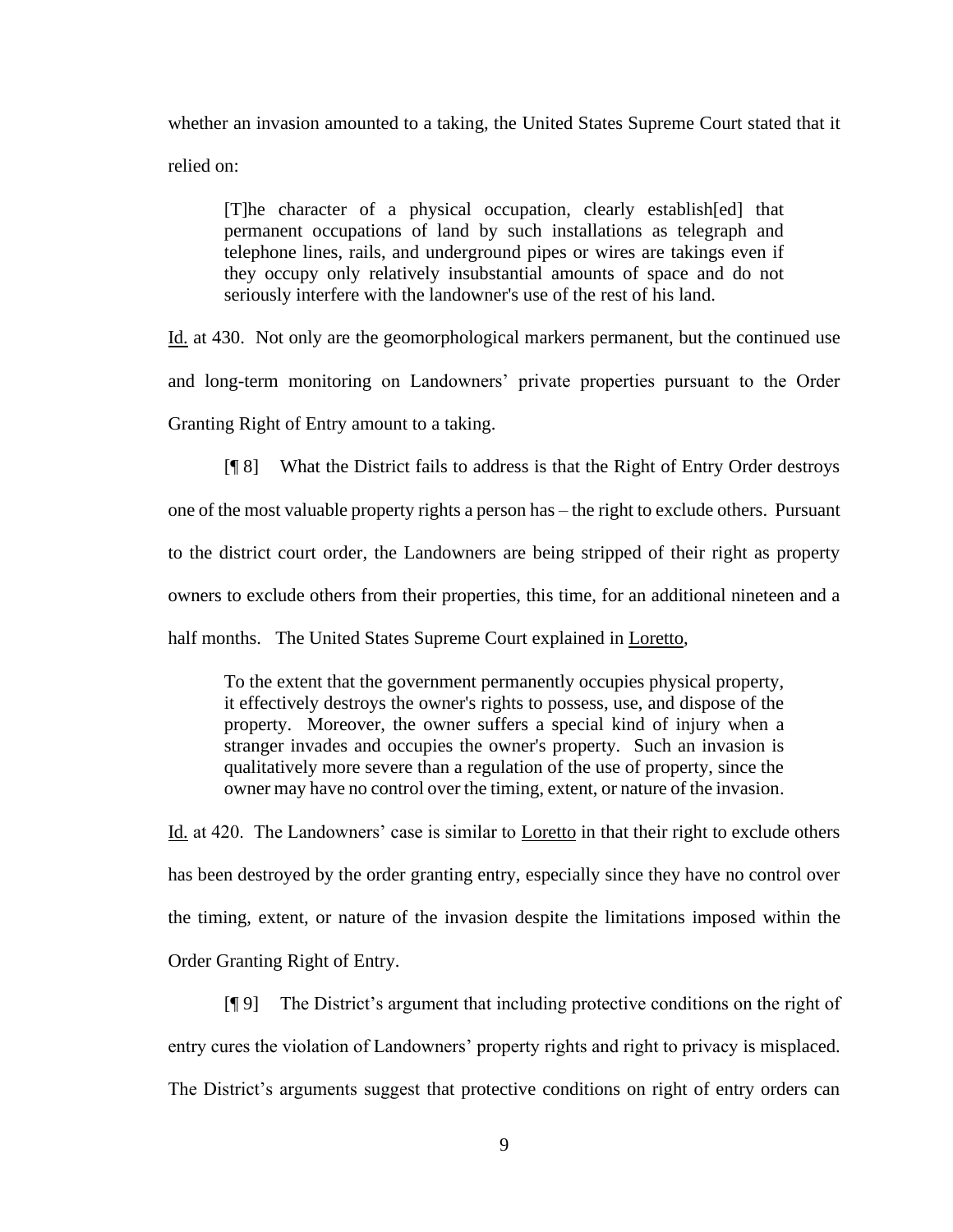whether an invasion amounted to a taking, the United States Supreme Court stated that it relied on:

[T]he character of a physical occupation, clearly establish[ed] that permanent occupations of land by such installations as telegraph and telephone lines, rails, and underground pipes or wires are takings even if they occupy only relatively insubstantial amounts of space and do not seriously interfere with the landowner's use of the rest of his land.

Id. at 430. Not only are the geomorphological markers permanent, but the continued use and long-term monitoring on Landowners' private properties pursuant to the Order Granting Right of Entry amount to a taking.

[¶ 8] What the District fails to address is that the Right of Entry Order destroys one of the most valuable property rights a person has – the right to exclude others. Pursuant to the district court order, the Landowners are being stripped of their right as property owners to exclude others from their properties, this time, for an additional nineteen and a

half months. The United States Supreme Court explained in Loretto,

To the extent that the government permanently occupies physical property, it effectively destroys the owner's rights to possess, use, and dispose of the property. Moreover, the owner suffers a special kind of injury when a stranger invades and occupies the owner's property. Such an invasion is qualitatively more severe than a regulation of the use of property, since the owner may have no control over the timing, extent, or nature of the invasion.

Id. at 420. The Landowners' case is similar to Loretto in that their right to exclude others has been destroyed by the order granting entry, especially since they have no control over the timing, extent, or nature of the invasion despite the limitations imposed within the Order Granting Right of Entry.

[¶ 9] The District's argument that including protective conditions on the right of entry cures the violation of Landowners' property rights and right to privacy is misplaced. The District's arguments suggest that protective conditions on right of entry orders can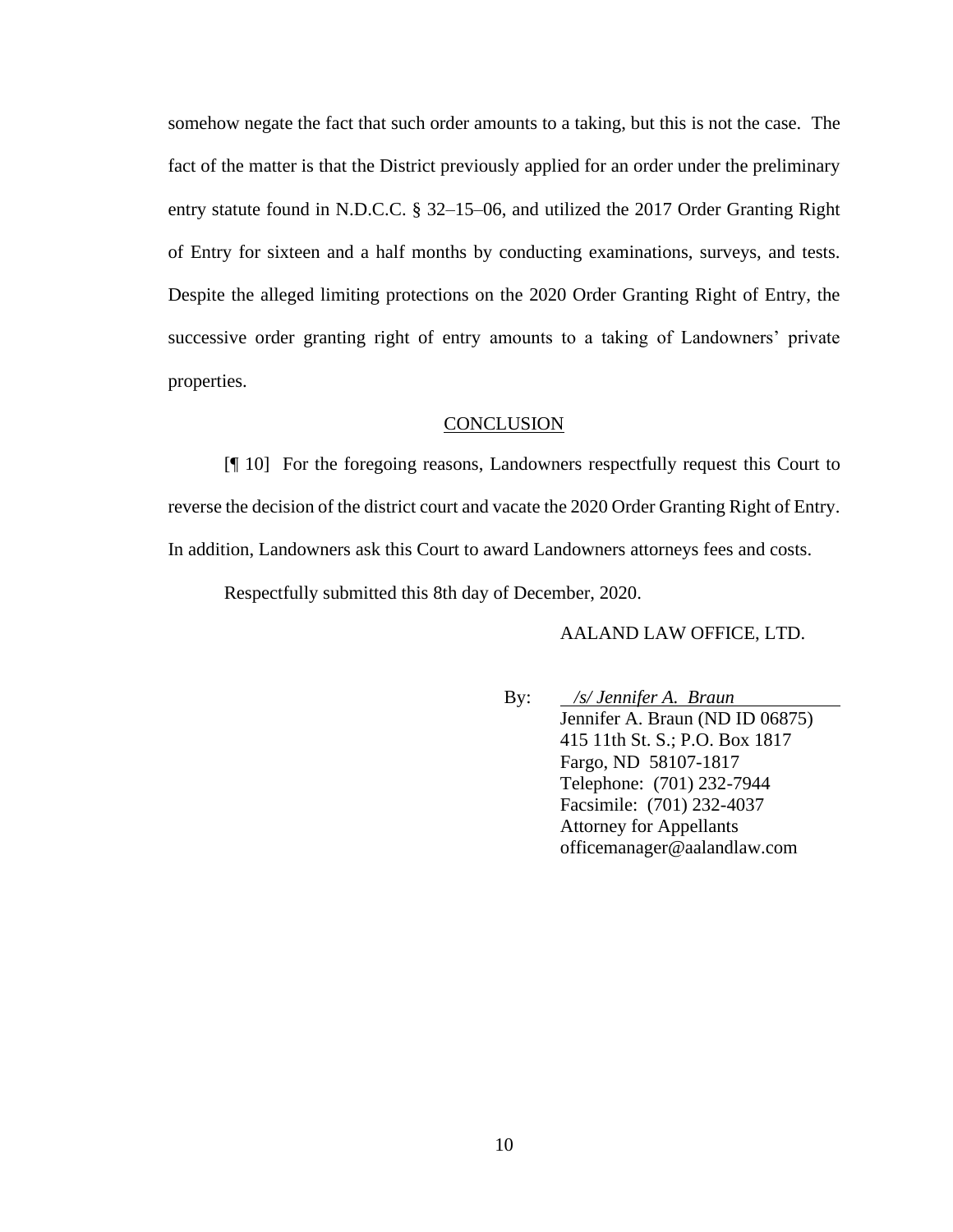somehow negate the fact that such order amounts to a taking, but this is not the case. The fact of the matter is that the District previously applied for an order under the preliminary entry statute found in N.D.C.C. § 32–15–06, and utilized the 2017 Order Granting Right of Entry for sixteen and a half months by conducting examinations, surveys, and tests. Despite the alleged limiting protections on the 2020 Order Granting Right of Entry, the successive order granting right of entry amounts to a taking of Landowners' private properties.

#### **CONCLUSION**

[¶ 10] For the foregoing reasons, Landowners respectfully request this Court to reverse the decision of the district court and vacate the 2020 Order Granting Right of Entry. In addition, Landowners ask this Court to award Landowners attorneys fees and costs.

Respectfully submitted this 8th day of December, 2020.

#### AALAND LAW OFFICE, LTD.

By: */s/ Jennifer A. Braun* Jennifer A. Braun (ND ID 06875) 415 11th St. S.; P.O. Box 1817 Fargo, ND 58107-1817 Telephone: (701) 232-7944 Facsimile: (701) 232-4037 Attorney for Appellants officemanager@aalandlaw.com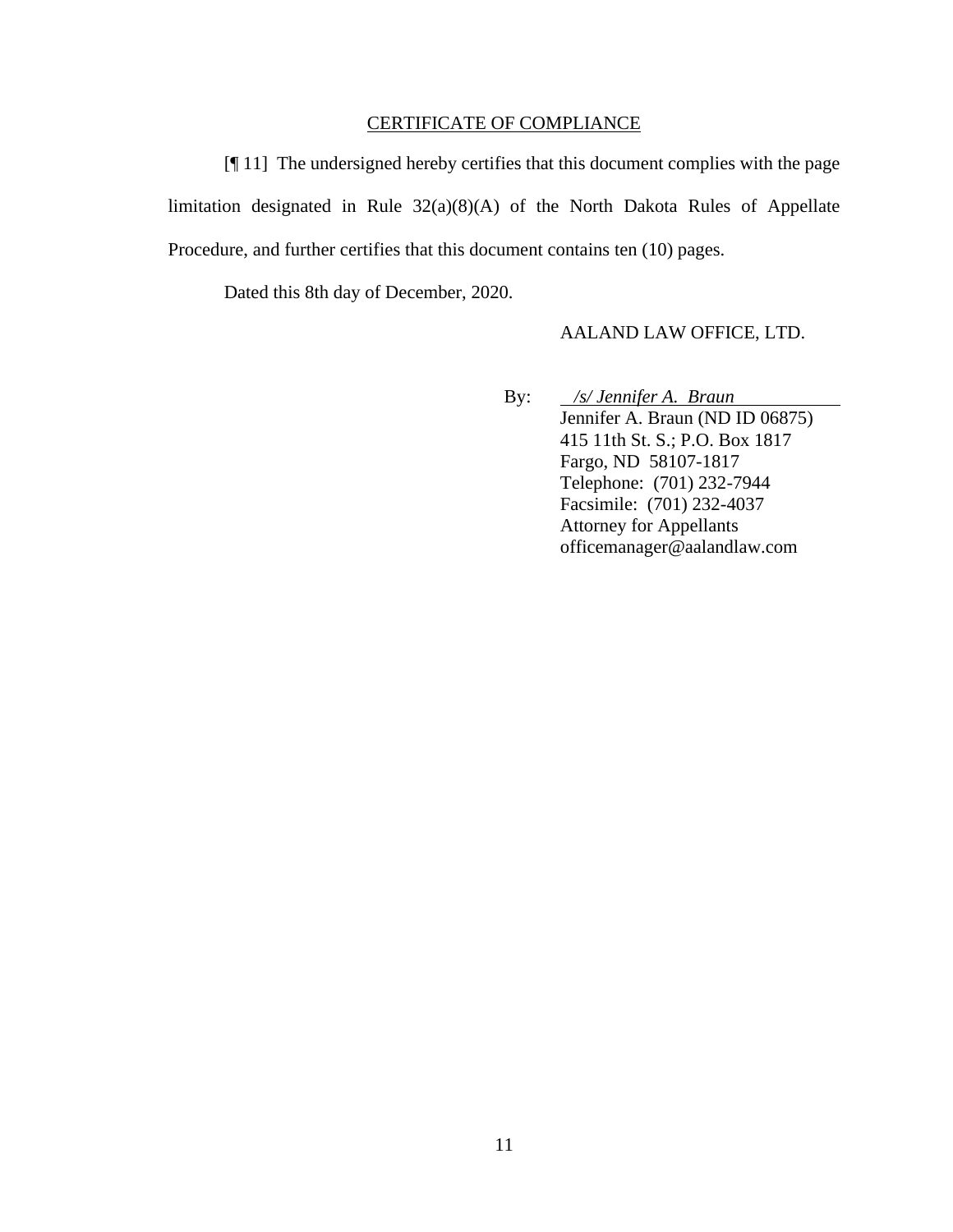# CERTIFICATE OF COMPLIANCE

[¶ 11] The undersigned hereby certifies that this document complies with the page limitation designated in Rule 32(a)(8)(A) of the North Dakota Rules of Appellate Procedure, and further certifies that this document contains ten (10) pages.

Dated this 8th day of December, 2020.

#### AALAND LAW OFFICE, LTD.

By: */s/ Jennifer A. Braun* Jennifer A. Braun (ND ID 06875) 415 11th St. S.; P.O. Box 1817 Fargo, ND 58107-1817 Telephone: (701) 232-7944 Facsimile: (701) 232-4037 Attorney for Appellants officemanager@aalandlaw.com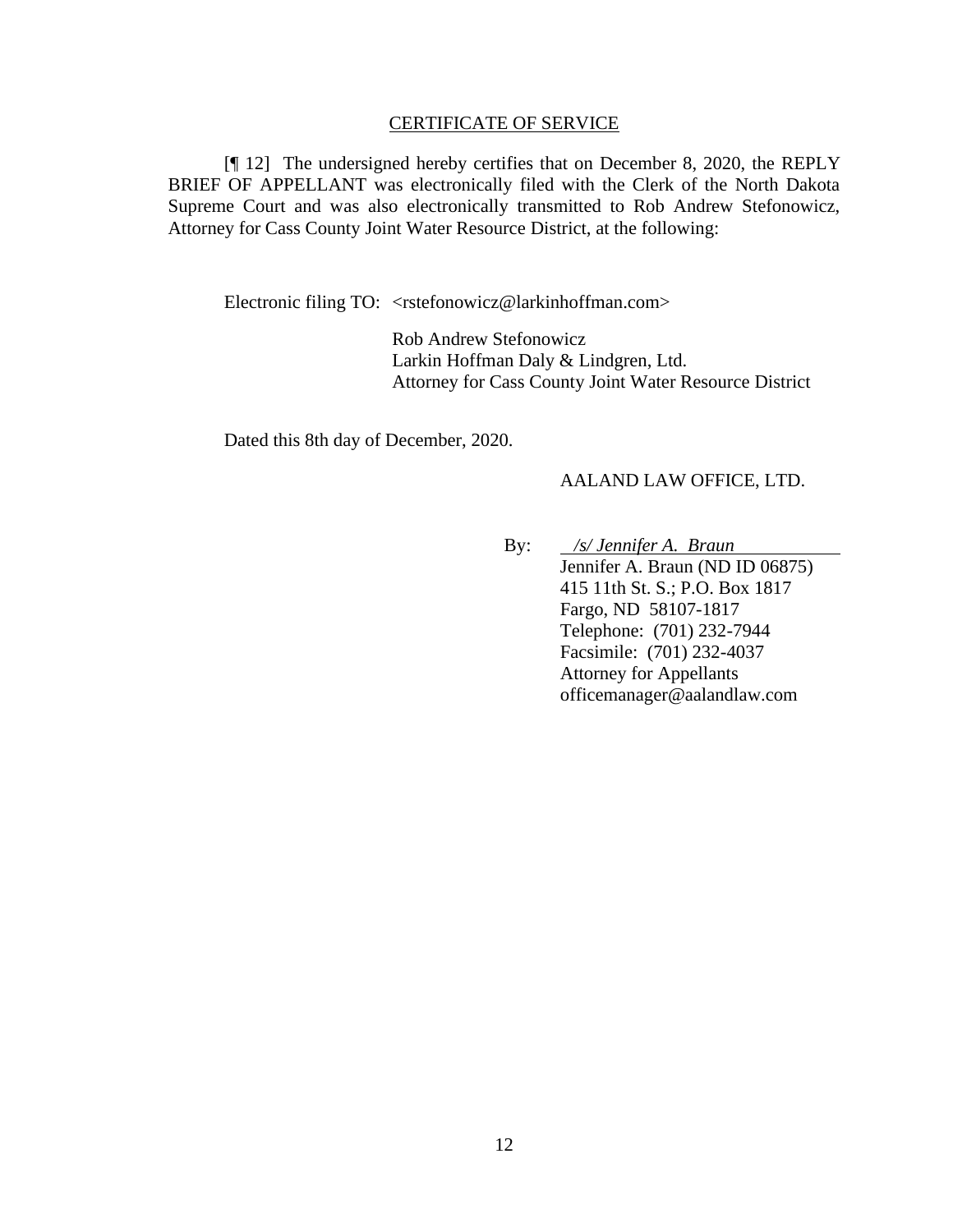#### CERTIFICATE OF SERVICE

[¶ 12] The undersigned hereby certifies that on December 8, 2020, the REPLY BRIEF OF APPELLANT was electronically filed with the Clerk of the North Dakota Supreme Court and was also electronically transmitted to Rob Andrew Stefonowicz, Attorney for Cass County Joint Water Resource District, at the following:

Electronic filing TO: <rstefonowicz@larkinhoffman.com>

Rob Andrew Stefonowicz Larkin Hoffman Daly & Lindgren, Ltd. Attorney for Cass County Joint Water Resource District

Dated this 8th day of December, 2020.

#### AALAND LAW OFFICE, LTD.

By: */s/ Jennifer A. Braun* Jennifer A. Braun (ND ID 06875) 415 11th St. S.; P.O. Box 1817 Fargo, ND 58107-1817 Telephone: (701) 232-7944 Facsimile: (701) 232-4037 Attorney for Appellants officemanager@aalandlaw.com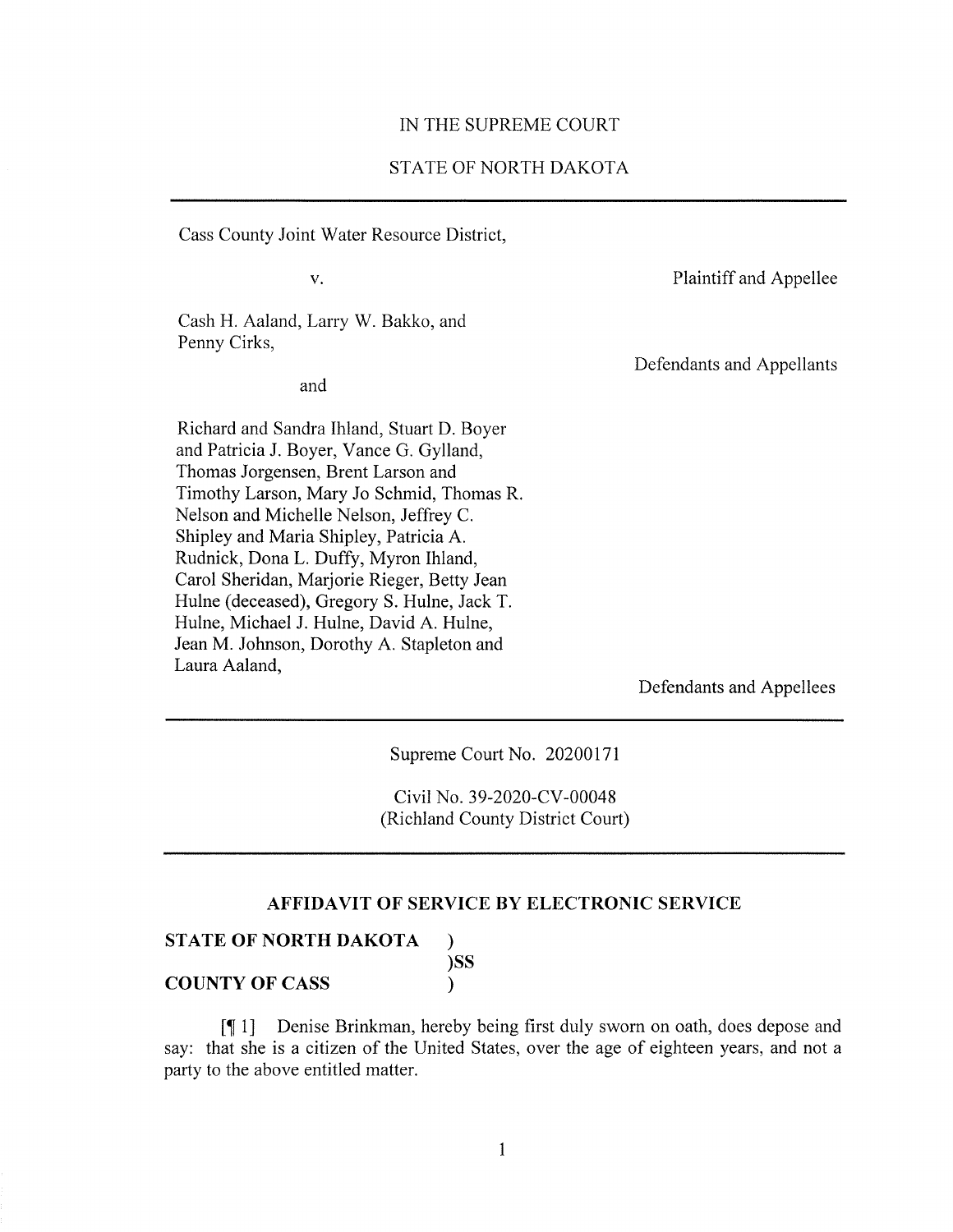#### IN THE SUPREME COURT

# STATE OF NORTH DAKOTA

Cass County Joint Water Resource District,

 $V_{\star}$ 

Plaintiff and Appellee

Cash H. Aaland, Larry W. Bakko, and Penny Cirks,

and

Defendants and Appellants

Richard and Sandra Ihland, Stuart D. Boyer and Patricia J. Boyer, Vance G. Gylland, Thomas Jorgensen, Brent Larson and Timothy Larson, Mary Jo Schmid, Thomas R. Nelson and Michelle Nelson, Jeffrey C. Shipley and Maria Shipley, Patricia A. Rudnick, Dona L. Duffy, Myron Ihland, Carol Sheridan, Marjorie Rieger, Betty Jean Hulne (deceased), Gregory S. Hulne, Jack T. Hulne, Michael J. Hulne, David A. Hulne, Jean M. Johnson, Dorothy A. Stapleton and Laura Aaland.

Defendants and Appellees

Supreme Court No. 20200171

Civil No. 39-2020-CV-00048 (Richland County District Court)

## AFFIDAVIT OF SERVICE BY ELECTRONIC SERVICE

|  |  | STATE OF NORTH DAKOTA |     |
|--|--|-----------------------|-----|
|  |  |                       | )SS |

**COUNTY OF CASS** 

Denise Brinkman, hereby being first duly sworn on oath, does depose and  $[$ say: that she is a citizen of the United States, over the age of eighteen years, and not a party to the above entitled matter.

 $\lambda$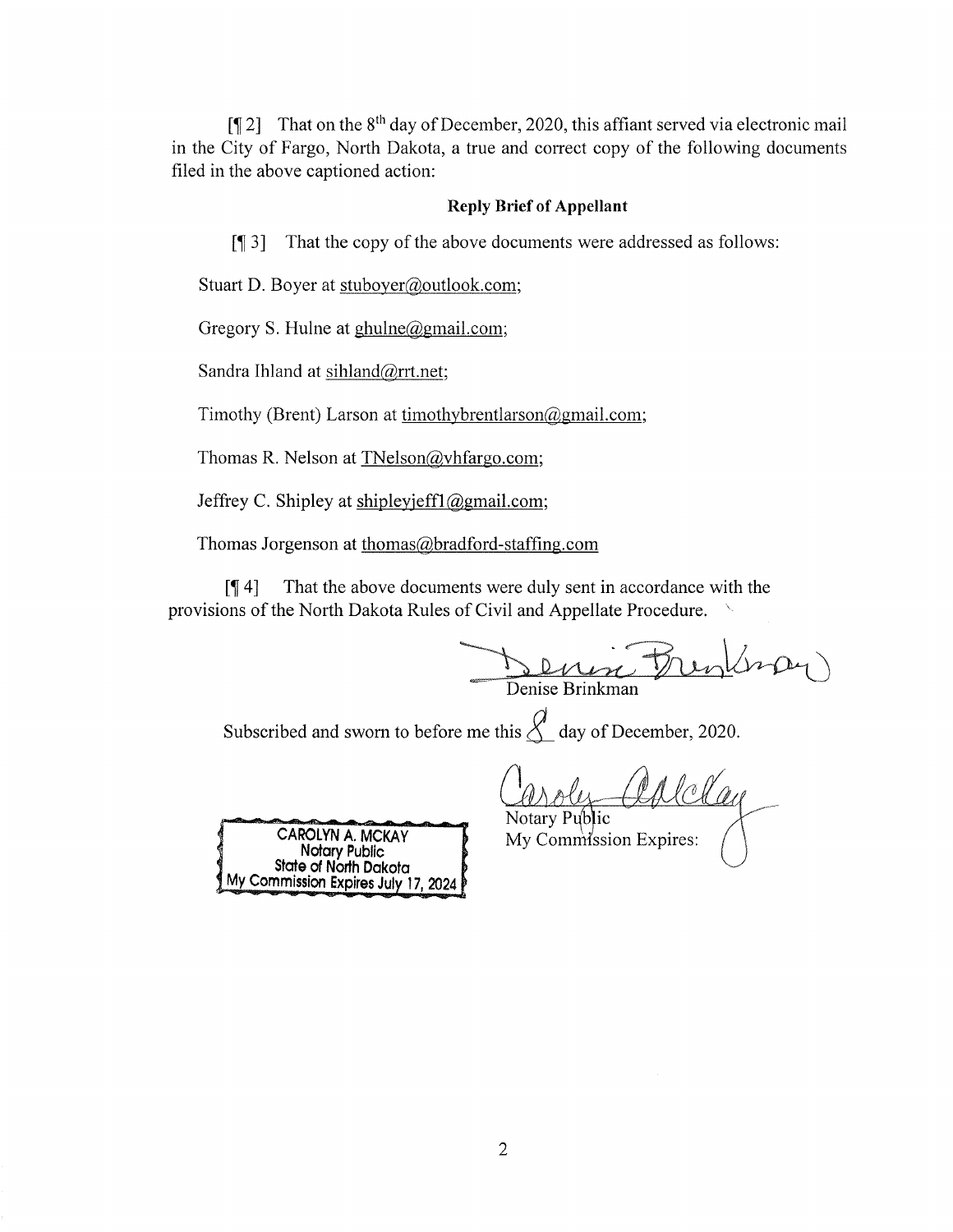[ $\llbracket 2 \rrbracket$  That on the 8<sup>th</sup> day of December, 2020, this affiant served via electronic mail in the City of Fargo, North Dakota, a true and correct copy of the following documents filed in the above captioned action:

## **Reply Brief of Appellant**

That the copy of the above documents were addressed as follows:  $\lceil \P \rceil 3 \rceil$ 

Stuart D. Boyer at stuboyer@outlook.com;

Gregory S. Hulne at  $ghulne@gmail.com$ ;

Sandra Ihland at sihland@rrt.net;

Timothy (Brent) Larson at timothybrentlarson  $\omega$ gmail.com;

Thomas R. Nelson at TNelson@vhfargo.com;

Jeffrey C. Shipley at shipleyjeff1@gmail.com;

Thomas Jorgenson at thomas@bradford-staffing.com

That the above documents were duly sent in accordance with the  $\sqrt{94}$ provisions of the North Dakota Rules of Civil and Appellate Procedure.

Denise Brinkman

Subscribed and sworn to before me this  $\mathcal{L}$  day of December, 2020.

aplelay Notary Public



My Commission Expires: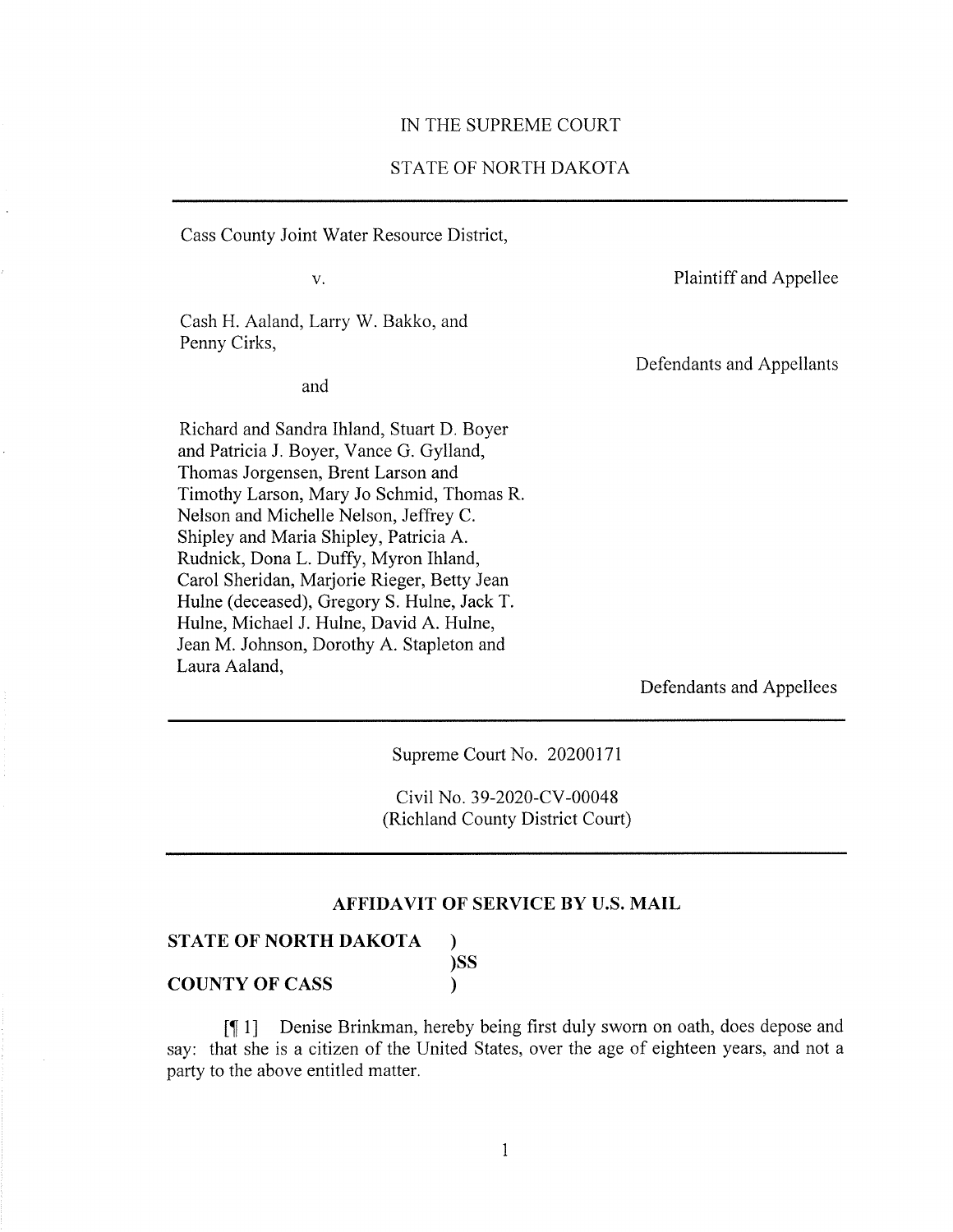#### IN THE SUPREME COURT

# STATE OF NORTH DAKOTA

Cass County Joint Water Resource District,

 $V<sub>1</sub>$ 

Plaintiff and Appellee

Cash H. Aaland, Larry W. Bakko, and Penny Cirks,

and

Defendants and Appellants

Richard and Sandra Ihland, Stuart D. Boyer and Patricia J. Boyer, Vance G. Gylland, Thomas Jorgensen, Brent Larson and Timothy Larson, Mary Jo Schmid, Thomas R. Nelson and Michelle Nelson, Jeffrey C. Shipley and Maria Shipley, Patricia A. Rudnick, Dona L. Duffy, Myron Ihland, Carol Sheridan, Marjorie Rieger, Betty Jean Hulne (deceased), Gregory S. Hulne, Jack T. Hulne, Michael J. Hulne, David A. Hulne, Jean M. Johnson, Dorothy A. Stapleton and Laura Aaland,

Defendants and Appellees

Supreme Court No. 20200171

Civil No. 39-2020-CV-00048 (Richland County District Court)

## **AFFIDAVIT OF SERVICE BY U.S. MAIL**

#### **STATE OF NORTH DAKOTA**

**COUNTY OF CASS** 

 $)$ SS  $\lambda$ 

 $\mathcal{E}$ 

Denise Brinkman, hereby being first duly sworn on oath, does depose and  $\lceil \P 1 \rceil$ say: that she is a citizen of the United States, over the age of eighteen years, and not a party to the above entitled matter.